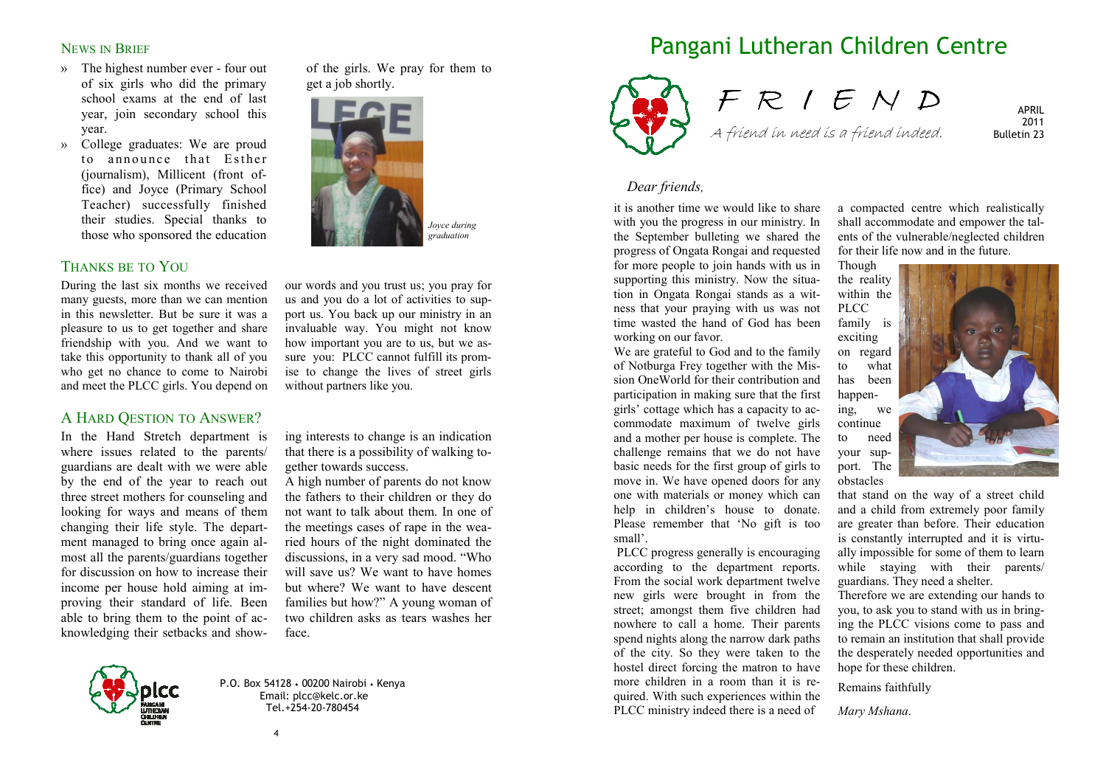#### NEWS IN BRIEF

- » The highest number ever four out of six girls who did the primary school exams at the end of last year, join secondary school this year.
- » College graduates: We are proud to announce that Esther (journalism), Millicent (front office) and Joyce (Primary School Teacher) successfully finished their studies. Special thanks to those who sponsored the education

## THANKS BE TO YOU

During the last six months we received many guests, more than we can mention in this newsletter. But be sure it was a pleasure to us to get together and share friendship with you. And we want to take this opportunity to thank all of you who get no chance to come to Nairobi and meet the PLCC girls. You depend on

## A HARD QESTION TO ANSWER?

In the Hand Stretch department is where issues related to the parents/ guardians are dealt with we were able by the end of the year to reach out three street mothers for counseling and looking for ways and means of them changing their life style. The department managed to bring once again almost all the parents/guardians together for discussion on how to increase their income per house hold aiming at improving their standard of life. Been able to bring them to the point of acknowledging their setbacks and showof the girls. We pray for them to get a job shortly.



our words and you trust us; you pray for us and you do a lot of activities to support us. You back up our ministry in an invaluable way. You might not know how important you are to us, but we assure you: PLCC cannot fulfill its promise to change the lives of street girls without partners like you.

ing interests to change is an indication that there is a possibility of walking together towards success.

A high number of parents do not know the fathers to their children or they do not want to talk about them. In one of the meetings cases of rape in the wearied hours of the night dominated the discussions, in a very sad mood. "Who will save us? We want to have homes but where? We want to have descent families but how?" A young woman of two children asks as tears washes her face.



P.O. Box 54128 • 00200 Nairobi • Kenya Email: plcc@kelc.or.ke Tel.+254-20-780454

# Pangani Lutheran Children Centre



F R I E N D A friend in need is a friend indeed.

APRIL 2011 Bulletin 23

### *Dear friends,*

it is another time we would like to share with you the progress in our ministry. In the September bulleting we shared the progress of Ongata Rongai and requested for more people to join hands with us in supporting this ministry. Now the situation in Ongata Rongai stands as a witness that your praying with us was not time wasted the hand of God has been working on our favor.

We are grateful to God and to the family of Notburga Frey together with the Mission OneWorld for their contribution and participation in making sure that the first girls' cottage which has a capacity to accommodate maximum of twelve girls and a mother per house is complete. The challenge remains that we do not have basic needs for the first group of girls to move in. We have opened doors for any one with materials or money which can help in children's house to donate. Please remember that 'No gift is too small'.

 PLCC progress generally is encouraging according to the department reports. From the social work department twelve new girls were brought in from the street; amongst them five children had nowhere to call a home. Their parents spend nights along the narrow dark paths of the city. So they were taken to the hostel direct forcing the matron to have more children in a room than it is required. With such experiences within the PLCC ministry indeed there is a need of

a compacted centre which realistically shall accommodate and empower the talents of the vulnerable/neglected children for their life now and in the future.

Though the reality within the PLCC family is

exciting on regard to what has been happening, we continue to need your support. The obstacles



that stand on the way of a street child and a child from extremely poor family are greater than before. Their education is constantly interrupted and it is virtually impossible for some of them to learn while staying with their parents/ guardians. They need a shelter.

Therefore we are extending our hands to you, to ask you to stand with us in bringing the PLCC visions come to pass and to remain an institution that shall provide the desperately needed opportunities and hope for these children.

Remains faithfully

*Mary Mshana*.